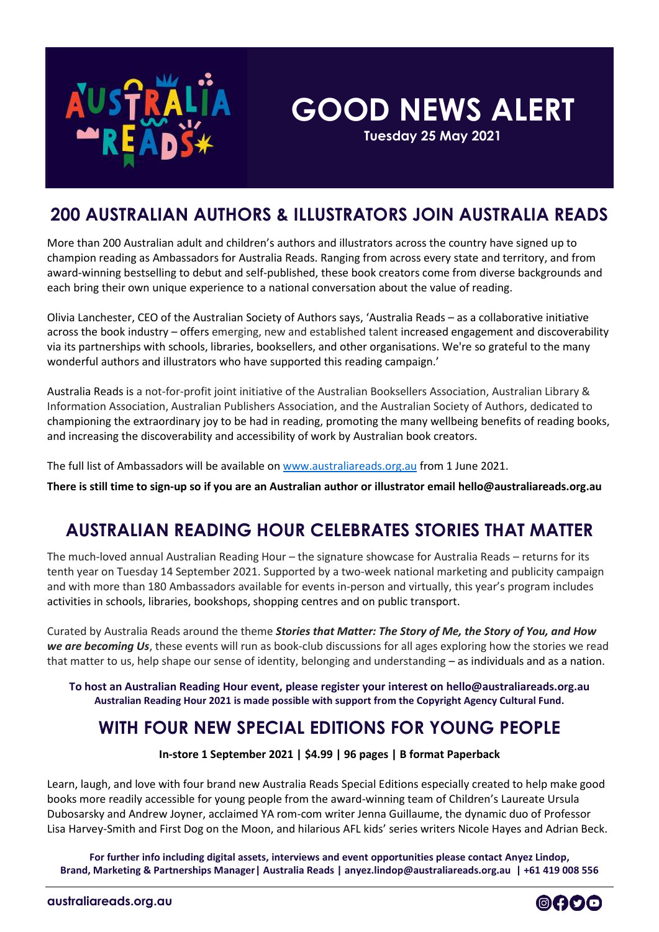

# **GOOD NEWS ALERT**

**Tuesday 25 May 2021**

#### **200 AUSTRALIAN AUTHORS & ILLUSTRATORS JOIN AUSTRALIA READS**

More than 200 Australian adult and children's authors and illustrators across the country have signed up to champion reading as Ambassadors for Australia Reads. Ranging from across every state and territory, and from award-winning bestselling to debut and self-published, these book creators come from diverse backgrounds and each bring their own unique experience to a national conversation about the value of reading.

Olivia Lanchester, CEO of the Australian Society of Authors says, 'Australia Reads – as a collaborative initiative across the book industry – offers emerging, new and established talent increased engagement and discoverability via its partnerships with schools, libraries, booksellers, and other organisations. We're so grateful to the many wonderful authors and illustrators who have supported this reading campaign.'

Australia Reads is a not-for-profit joint initiative of the Australian Booksellers Association, Australian Library & Information Association, Australian Publishers Association, and the Australian Society of Authors, dedicated to championing the extraordinary joy to be had in reading, promoting the many wellbeing benefits of reading books, and increasing the discoverability and accessibility of work by Australian book creators.

The full list of Ambassadors will be available o[n www.australiareads.org.au](http://www.australiareads.org.au/) from 1 June 2021.

**There is still time to sign-up so if you are an Australian author or illustrator email [hello@australiareads.org.au](mailto:hello@australiareads.org.au)**

# **AUSTRALIAN READING HOUR CELEBRATES STORIES THAT MATTER**

The much-loved annual Australian Reading Hour – the signature showcase for Australia Reads – returns for its tenth year on Tuesday 14 September 2021. Supported by a two-week national marketing and publicity campaign and with more than 180 Ambassadors available for events in-person and virtually, this year's program includes activities in schools, libraries, bookshops, shopping centres and on public transport.

Curated by Australia Reads around the theme *Stories that Matter: The Story of Me, the Story of You, and How we are becoming Us*, these events will run as book-club discussions for all ages exploring how the stories we read that matter to us, help shape our sense of identity, belonging and understanding – as individuals and as a nation.

**To host an Australian Reading Hour event, please register your interest on [hello@australiareads.org.au](mailto:hello@australiareads.org.au) Australian Reading Hour 2021 is made possible with support from the Copyright Agency Cultural Fund.**

# **WITH FOUR NEW SPECIAL EDITIONS FOR YOUNG PEOPLE**

**In-store 1 September 2021 | \$4.99 | 96 pages | B format Paperback**

Learn, laugh, and love with four brand new Australia Reads Special Editions especially created to help make good books more readily accessible for young people from the award-winning team of Children's Laureate Ursula Dubosarsky and Andrew Joyner, acclaimed YA rom-com writer Jenna Guillaume, the dynamic duo of Professor Lisa Harvey-Smith and First Dog on the Moon, and hilarious AFL kids' series writers Nicole Hayes and Adrian Beck.

**For further info including digital assets, interviews and event opportunities please contact Anyez Lindop, Brand, Marketing & Partnerships Manager| Australia Reads | anyez.lindop@australiareads.org.au | +61 419 008 556**